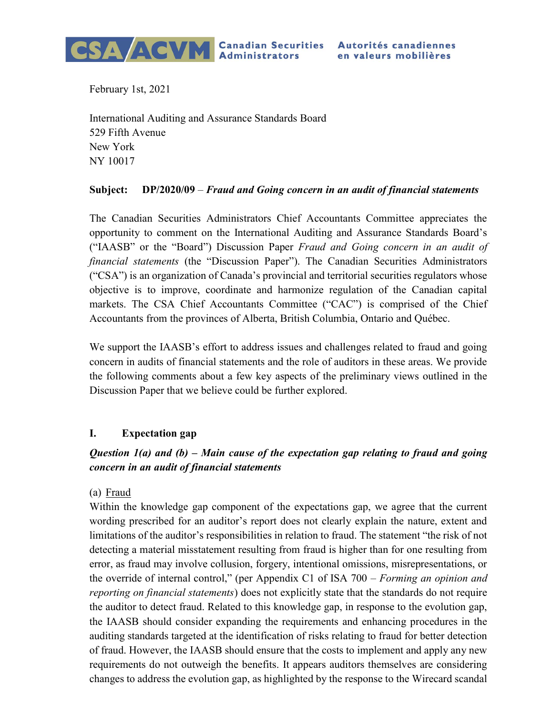

February 1st, 2021

International Auditing and Assurance Standards Board 529 Fifth Avenue New York NY 10017

### Subject: DP/2020/09 – Fraud and Going concern in an audit of financial statements

The Canadian Securities Administrators Chief Accountants Committee appreciates the opportunity to comment on the International Auditing and Assurance Standards Board's ("IAASB" or the "Board") Discussion Paper Fraud and Going concern in an audit of financial statements (the "Discussion Paper"). The Canadian Securities Administrators ("CSA") is an organization of Canada's provincial and territorial securities regulators whose objective is to improve, coordinate and harmonize regulation of the Canadian capital markets. The CSA Chief Accountants Committee ("CAC") is comprised of the Chief Accountants from the provinces of Alberta, British Columbia, Ontario and Québec.

We support the IAASB's effort to address issues and challenges related to fraud and going concern in audits of financial statements and the role of auditors in these areas. We provide the following comments about a few key aspects of the preliminary views outlined in the Discussion Paper that we believe could be further explored.

# I. Expectation gap

# Question  $I(a)$  and (b) – Main cause of the expectation gap relating to fraud and going concern in an audit of financial statements

(a) Fraud

Within the knowledge gap component of the expectations gap, we agree that the current wording prescribed for an auditor's report does not clearly explain the nature, extent and limitations of the auditor's responsibilities in relation to fraud. The statement "the risk of not detecting a material misstatement resulting from fraud is higher than for one resulting from error, as fraud may involve collusion, forgery, intentional omissions, misrepresentations, or the override of internal control," (per Appendix C1 of ISA  $700 - \textit{Forming}$  an opinion and reporting on financial statements) does not explicitly state that the standards do not require the auditor to detect fraud. Related to this knowledge gap, in response to the evolution gap, the IAASB should consider expanding the requirements and enhancing procedures in the auditing standards targeted at the identification of risks relating to fraud for better detection of fraud. However, the IAASB should ensure that the costs to implement and apply any new requirements do not outweigh the benefits. It appears auditors themselves are considering changes to address the evolution gap, as highlighted by the response to the Wirecard scandal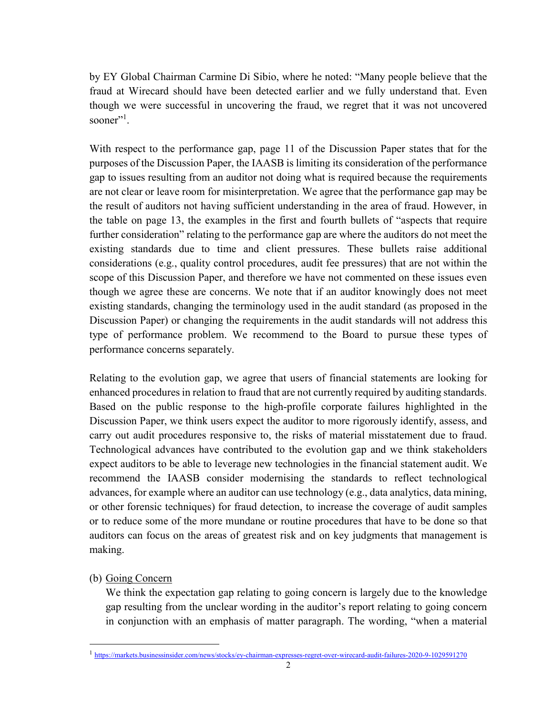by EY Global Chairman Carmine Di Sibio, where he noted: "Many people believe that the fraud at Wirecard should have been detected earlier and we fully understand that. Even though we were successful in uncovering the fraud, we regret that it was not uncovered sooner"<sup>1</sup>.

With respect to the performance gap, page 11 of the Discussion Paper states that for the purposes of the Discussion Paper, the IAASB is limiting its consideration of the performance gap to issues resulting from an auditor not doing what is required because the requirements are not clear or leave room for misinterpretation. We agree that the performance gap may be the result of auditors not having sufficient understanding in the area of fraud. However, in the table on page 13, the examples in the first and fourth bullets of "aspects that require further consideration" relating to the performance gap are where the auditors do not meet the existing standards due to time and client pressures. These bullets raise additional considerations (e.g., quality control procedures, audit fee pressures) that are not within the scope of this Discussion Paper, and therefore we have not commented on these issues even though we agree these are concerns. We note that if an auditor knowingly does not meet existing standards, changing the terminology used in the audit standard (as proposed in the Discussion Paper) or changing the requirements in the audit standards will not address this type of performance problem. We recommend to the Board to pursue these types of performance concerns separately.

Relating to the evolution gap, we agree that users of financial statements are looking for enhanced procedures in relation to fraud that are not currently required by auditing standards. Based on the public response to the high-profile corporate failures highlighted in the Discussion Paper, we think users expect the auditor to more rigorously identify, assess, and carry out audit procedures responsive to, the risks of material misstatement due to fraud. Technological advances have contributed to the evolution gap and we think stakeholders expect auditors to be able to leverage new technologies in the financial statement audit. We recommend the IAASB consider modernising the standards to reflect technological advances, for example where an auditor can use technology (e.g., data analytics, data mining, or other forensic techniques) for fraud detection, to increase the coverage of audit samples or to reduce some of the more mundane or routine procedures that have to be done so that auditors can focus on the areas of greatest risk and on key judgments that management is making.

# (b) Going Concern

 $\overline{a}$ 

We think the expectation gap relating to going concern is largely due to the knowledge gap resulting from the unclear wording in the auditor's report relating to going concern in conjunction with an emphasis of matter paragraph. The wording, "when a material

<sup>1</sup> https://markets.businessinsider.com/news/stocks/ey-chairman-expresses-regret-over-wirecard-audit-failures-2020-9-1029591270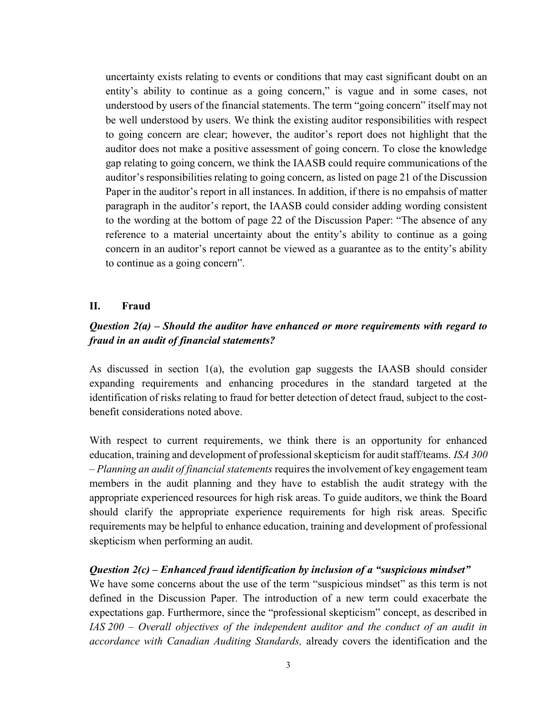uncertainty exists relating to events or conditions that may cast significant doubt on an entity's ability to continue as a going concern," is vague and in some cases, not understood by users of the financial statements. The term "going concern" itself may not be well understood by users. We think the existing auditor responsibilities with respect to going concern are clear; however, the auditor's report does not highlight that the auditor does not make a positive assessment of going concern. To close the knowledge gap relating to going concern, we think the IAASB could require communications of the auditor's responsibilities relating to going concern, as listed on page 21 of the Discussion Paper in the auditor's report in all instances. In addition, if there is no empahsis of matter paragraph in the auditor's report, the IAASB could consider adding wording consistent to the wording at the bottom of page 22 of the Discussion Paper: "The absence of any reference to a material uncertainty about the entity's ability to continue as a going concern in an auditor's report cannot be viewed as a guarantee as to the entity's ability to continue as a going concern".

### II. Fraud

# Question  $2(a)$  – Should the auditor have enhanced or more requirements with regard to fraud in an audit of financial statements?

As discussed in section 1(a), the evolution gap suggests the IAASB should consider expanding requirements and enhancing procedures in the standard targeted at the identification of risks relating to fraud for better detection of detect fraud, subject to the costbenefit considerations noted above.

With respect to current requirements, we think there is an opportunity for enhanced education, training and development of professional skepticism for audit staff/teams. ISA 300 – Planning an audit of financial statements requires the involvement of key engagement team members in the audit planning and they have to establish the audit strategy with the appropriate experienced resources for high risk areas. To guide auditors, we think the Board should clarify the appropriate experience requirements for high risk areas. Specific requirements may be helpful to enhance education, training and development of professional skepticism when performing an audit.

#### Question  $2(c)$  – Enhanced fraud identification by inclusion of a "suspicious mindset"

We have some concerns about the use of the term "suspicious mindset" as this term is not defined in the Discussion Paper. The introduction of a new term could exacerbate the expectations gap. Furthermore, since the "professional skepticism" concept, as described in IAS 200 – Overall objectives of the independent auditor and the conduct of an audit in accordance with Canadian Auditing Standards, already covers the identification and the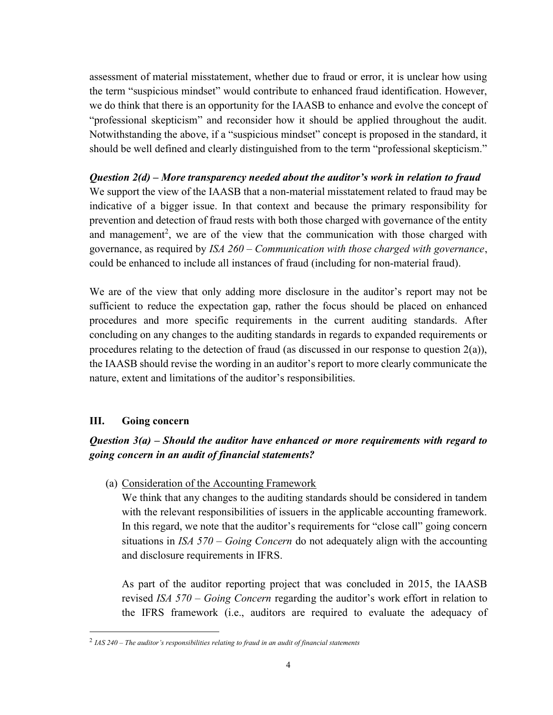assessment of material misstatement, whether due to fraud or error, it is unclear how using the term "suspicious mindset" would contribute to enhanced fraud identification. However, we do think that there is an opportunity for the IAASB to enhance and evolve the concept of "professional skepticism" and reconsider how it should be applied throughout the audit. Notwithstanding the above, if a "suspicious mindset" concept is proposed in the standard, it should be well defined and clearly distinguished from to the term "professional skepticism."

Question 2(d) – More transparency needed about the auditor's work in relation to fraud We support the view of the IAASB that a non-material misstatement related to fraud may be indicative of a bigger issue. In that context and because the primary responsibility for prevention and detection of fraud rests with both those charged with governance of the entity and management<sup>2</sup>, we are of the view that the communication with those charged with governance, as required by ISA  $260$  – Communication with those charged with governance, could be enhanced to include all instances of fraud (including for non-material fraud).

We are of the view that only adding more disclosure in the auditor's report may not be sufficient to reduce the expectation gap, rather the focus should be placed on enhanced procedures and more specific requirements in the current auditing standards. After concluding on any changes to the auditing standards in regards to expanded requirements or procedures relating to the detection of fraud (as discussed in our response to question 2(a)), the IAASB should revise the wording in an auditor's report to more clearly communicate the nature, extent and limitations of the auditor's responsibilities.

### III. Going concern

 $\overline{a}$ 

# Question  $3(a)$  – Should the auditor have enhanced or more requirements with regard to going concern in an audit of financial statements?

(a) Consideration of the Accounting Framework

We think that any changes to the auditing standards should be considered in tandem with the relevant responsibilities of issuers in the applicable accounting framework. In this regard, we note that the auditor's requirements for "close call" going concern situations in  $ISA 570 - Going Concern$  do not adequately align with the accounting and disclosure requirements in IFRS.

As part of the auditor reporting project that was concluded in 2015, the IAASB revised ISA 570 – Going Concern regarding the auditor's work effort in relation to the IFRS framework (i.e., auditors are required to evaluate the adequacy of

 $^{2}$  IAS 240 – The auditor's responsibilities relating to fraud in an audit of financial statements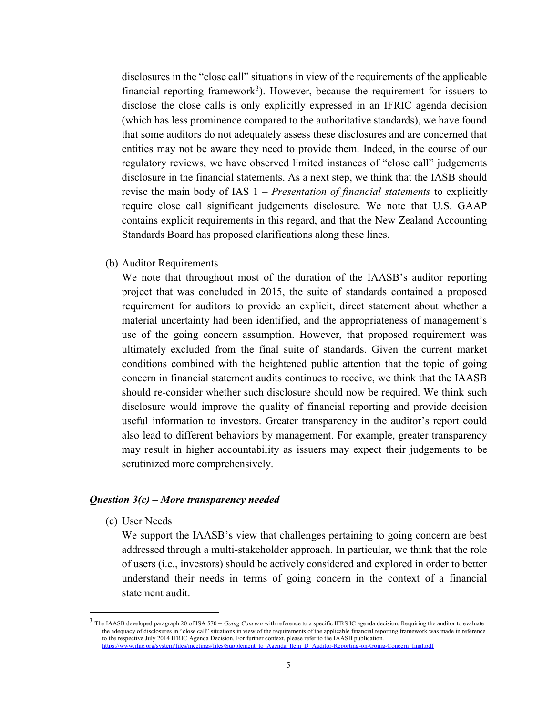disclosures in the "close call" situations in view of the requirements of the applicable financial reporting framework<sup>3</sup>). However, because the requirement for issuers to disclose the close calls is only explicitly expressed in an IFRIC agenda decision (which has less prominence compared to the authoritative standards), we have found that some auditors do not adequately assess these disclosures and are concerned that entities may not be aware they need to provide them. Indeed, in the course of our regulatory reviews, we have observed limited instances of "close call" judgements disclosure in the financial statements. As a next step, we think that the IASB should revise the main body of IAS  $1$  – *Presentation of financial statements* to explicitly require close call significant judgements disclosure. We note that U.S. GAAP contains explicit requirements in this regard, and that the New Zealand Accounting Standards Board has proposed clarifications along these lines.

(b) Auditor Requirements

We note that throughout most of the duration of the IAASB's auditor reporting project that was concluded in 2015, the suite of standards contained a proposed requirement for auditors to provide an explicit, direct statement about whether a material uncertainty had been identified, and the appropriateness of management's use of the going concern assumption. However, that proposed requirement was ultimately excluded from the final suite of standards. Given the current market conditions combined with the heightened public attention that the topic of going concern in financial statement audits continues to receive, we think that the IAASB should re-consider whether such disclosure should now be required. We think such disclosure would improve the quality of financial reporting and provide decision useful information to investors. Greater transparency in the auditor's report could also lead to different behaviors by management. For example, greater transparency may result in higher accountability as issuers may expect their judgements to be scrutinized more comprehensively.

#### Question  $3(c)$  – More transparency needed

(c) User Needs

 $\overline{a}$ 

We support the IAASB's view that challenges pertaining to going concern are best addressed through a multi-stakeholder approach. In particular, we think that the role of users (i.e., investors) should be actively considered and explored in order to better understand their needs in terms of going concern in the context of a financial statement audit.

 $3$  The IAASB developed paragraph 20 of ISA 570 – Going Concern with reference to a specific IFRS IC agenda decision. Requiring the auditor to evaluate the adequacy of disclosures in "close call" situations in view of the requirements of the applicable financial reporting framework was made in reference to the respective July 2014 IFRIC Agenda Decision. For further context, please refer to the IAASB publication. https://www.ifac.org/system/files/meetings/files/Supplement\_to\_Agenda\_Item\_D\_Auditor-Reporting-on-Going-Concern\_final.pdf